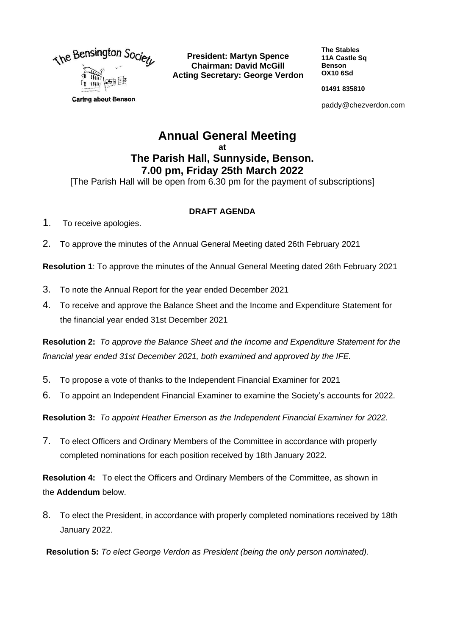

**President: Martyn Spence Chairman: David McGill Acting Secretary: George Verdon** **The Stables 11A Castle Sq Benson OX10 6Sd**

**01491 835810**

paddy@chezverdon.com

# **Annual General Meeting at The Parish Hall, Sunnyside, Benson. 7.00 pm, Friday 25th March 2022**

[The Parish Hall will be open from 6.30 pm for the payment of subscriptions]

## **DRAFT AGENDA**

- 1.To receive apologies.
- 2. To approve the minutes of the Annual General Meeting dated 26th February 2021

**Resolution 1**: To approve the minutes of the Annual General Meeting dated 26th February 2021

- 3. To note the Annual Report for the year ended December 2021
- 4. To receive and approve the Balance Sheet and the Income and Expenditure Statement for the financial year ended 31st December 2021

**Resolution 2:** *To approve the Balance Sheet and the Income and Expenditure Statement for the financial year ended 31st December 2021, both examined and approved by the IFE.*

- 5. To propose a vote of thanks to the Independent Financial Examiner for 2021
- 6. To appoint an Independent Financial Examiner to examine the Society's accounts for 2022.

**Resolution 3:** *To appoint Heather Emerson as the Independent Financial Examiner for 2022.*

7. To elect Officers and Ordinary Members of the Committee in accordance with properly completed nominations for each position received by 18th January 2022.

**Resolution 4:** To elect the Officers and Ordinary Members of the Committee, as shown in the **Addendum** below.

8. To elect the President, in accordance with properly completed nominations received by 18th January 2022.

**Resolution 5:** *To elect George Verdon as President (being the only person nominated).*